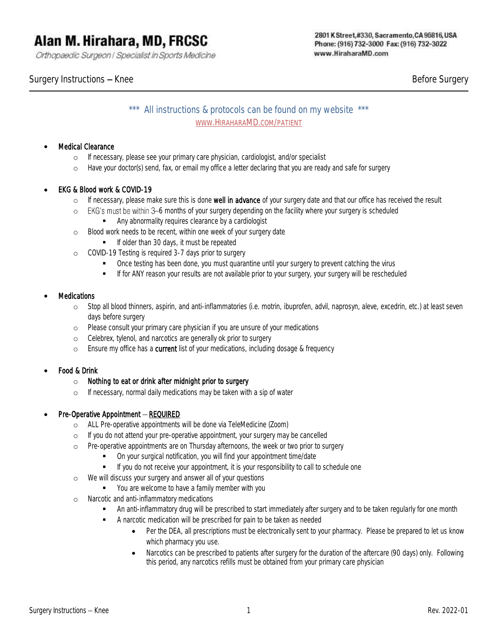Orthopaedic Surgeon | Specialist in Sports Medicine

Surgery Instructions – Knee Before Surgery Before Surgery

\*\*\* All instructions & protocols can be found on my website \*\*\* WWW.HIRAHARAMD.COM/PATIENT

#### **Medical Clearance**

- o If necessary, please see your primary care physician, cardiologist, and/or specialist
- o Have your doctor(s) send, fax, or email my office a letter declaring that you are ready and safe for surgery

# • EKG & Blood work & COVID-19

- o If necessary, please make sure this is done well in advance of your surgery date and that our office has received the result
- $\circ$  EKG's must be within 3–6 months of your surgery depending on the facility where your surgery is scheduled
	- Any abnormality requires clearance by a cardiologist
- o Blood work needs to be recent, within one week of your surgery date
	- **■** If older than 30 days, it must be repeated
- o COVID-19 Testing is required 3-7 days prior to surgery
	- Once testing has been done, you must quarantine until your surgery to prevent catching the virus
	- **■** If for ANY reason your results are not available prior to your surgery, your surgery will be rescheduled

#### **Medications**

- o Stop all blood thinners, aspirin, and anti-inflammatories (i.e. motrin, ibuprofen, advil, naprosyn, aleve, excedrin, etc.) at least seven days before surgery
- o Please consult your primary care physician if you are unsure of your medications
- o Celebrex, tylenol, and narcotics are generally ok prior to surgery
- o Ensure my office has a current list of your medications, including dosage & frequency

# • Food & Drink

- o *Nothing to eat or drink after midnight prior to surgery*
- o If necessary, normal daily medications may be taken with a sip of water

# $Pre-Operative\,$  Appointment  $-$  REQUIRED

- o ALL Pre-operative appointments will be done via TeleMedicine (Zoom)
- o If you do not attend your pre-operative appointment, your surgery may be cancelled
- o Pre-operative appointments are on Thursday afternoons, the week or two prior to surgery
	- On your surgical notification, you will find your appointment time/date
	- **■** If you do not receive your appointment, it is your responsibility to call to schedule one
- o We will discuss your surgery and answer all of your questions
	- You are welcome to have a family member with you
- o Narcotic and anti-inflammatory medications
	- **■** An anti-inflammatory drug will be prescribed to start immediately after surgery and to be taken regularly for one month
	- A narcotic medication will be prescribed for pain to be taken as needed
		- Per the DEA, all prescriptions must be electronically sent to your pharmacy. Please be prepared to let us know which pharmacy you use.
		- Narcotics can be prescribed to patients after surgery for the duration of the aftercare (90 days) only. Following this period, any narcotics refills must be obtained from your primary care physician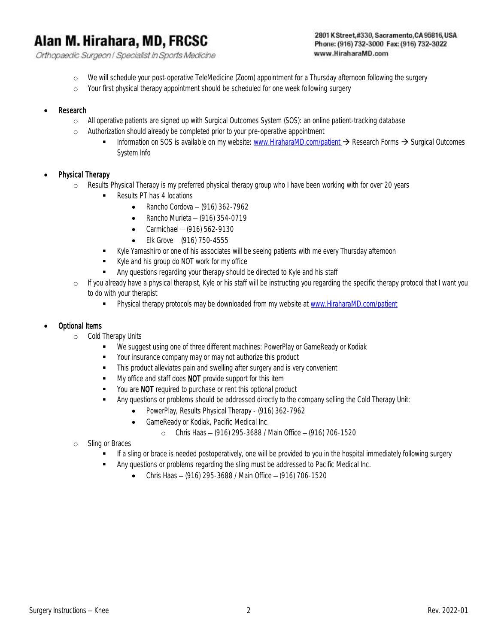Orthopaedic Surgeon | Specialist in Sports Medicine

#### 2801 K Street, #330, Sacramento, CA 95816, USA Phone: (916) 732-3000 Fax: (916) 732-3022 www.HiraharaMD.com

- o We will schedule your post-operative TeleMedicine (Zoom) appointment for a Thursday afternoon following the surgery
- o Your first physical therapy appointment should be scheduled for one week following surgery

#### **Research**

- o All operative patients are signed up with Surgical Outcomes System (SOS): an online patient-tracking database
- o Authorization should already be completed prior to your pre-operative appointment
	- Information on SOS is available on my website: [www.HiraharaMD.com/patient](http://www.hiraharamd.com/patient) → Research Forms → Surgical Outcomes System Info

#### Physical Therapy

- o Results Physical Therapy is my preferred physical therapy group who I have been working with for over 20 years
	- Results PT has 4 locations
		- Rancho Cordova  $-$  (916) 362-7962
		- Rancho Murieta  $-$  (916) 354-0719
		- Carmichael  $-$  (916) 562-9130
		- Elk Grove  $-$  (916) 750-4555
	- Kyle Yamashiro or one of his associates will be seeing patients with me every Thursday afternoon
	- Kyle and his group do NOT work for my office
	- **EXECT** Any questions regarding your therapy should be directed to Kyle and his staff
- o If you already have a physical therapist, Kyle or his staff will be instructing you regarding the specific therapy protocol that I want you to do with your therapist
	- **•** Physical therapy protocols may be downloaded from my website at [www.HiraharaMD.com/patient](http://www.hiraharamd.com/patient)

#### • Optional Items

- o Cold Therapy Units
	- We suggest using one of three different machines: PowerPlay or GameReady or Kodiak
	- Your insurance company may or may not authorize this product
	- **•** This product alleviates pain and swelling after surgery and is very convenient
	- My office and staff does NOT provide support for this item
	- You are NOT required to purchase or rent this optional product
	- Any questions or problems should be addressed directly to the company selling the Cold Therapy Unit:
		- PowerPlay, Results Physical Therapy (916) 362-7962
		- GameReady or Kodiak, Pacific Medical Inc.
			- o Chris Haas (916) 295-3688 / Main Office (916) 706-1520
- o Sling or Braces
	- If a sling or brace is needed postoperatively, one will be provided to you in the hospital immediately following surgery
		- Any questions or problems regarding the sling must be addressed to Pacific Medical Inc.
			- Chris Haas (916) 295-3688 / Main Office (916) 706-1520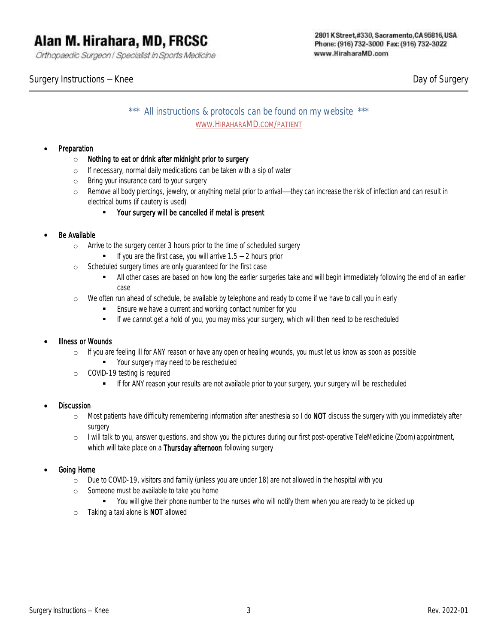Orthopaedic Surgeon | Specialist in Sports Medicine

# \*\*\* All instructions & protocols can be found on my website \*\*\* WWW.HIRAHARAMD.COM/PATIENT

# **Preparation**

- o *Nothing to eat or drink after midnight prior to surgery*
- o If necessary, normal daily medications can be taken with a sip of water
- o Bring your insurance card to your surgery
- o Remove all body piercings, jewelry, or anything metal prior to arrival—they can increase the risk of infection and can result in electrical burns (if cautery is used)
	- Your surgery will be cancelled if metal is present

#### Be Available

- o Arrive to the surgery center 3 hours prior to the time of scheduled surgery
	- $\blacksquare$  If you are the first case, you will arrive  $1.5 2$  hours prior
- o Scheduled surgery times are only guaranteed for the first case
	- All other cases are based on how long the earlier surgeries take and will begin immediately following the end of an earlier case
- o We often run ahead of schedule, be available by telephone and ready to come if we have to call you in early
	- **Ensure we have a current and working contact number for you**
	- **■** If we cannot get a hold of you, you may miss your surgery, which will then need to be rescheduled

#### Illness or Wounds

- o If you are feeling ill for ANY reason or have any open or healing wounds, you must let us know as soon as possible
	- Your surgery may need to be rescheduled
- o COVID-19 testing is required
	- **■** If for ANY reason your results are not available prior to your surgery, your surgery will be rescheduled

#### **Discussion**

- o Most patients have difficulty remembering information after anesthesia so I do NOT discuss the surgery with you immediately after surgery
- o I will talk to you, answer questions, and show you the pictures during our first post-operative TeleMedicine (Zoom) appointment, which will take place on a Thursday afternoon following surgery

#### • Going Home

- o Due to COVID-19, visitors and family (unless you are under 18) are not allowed in the hospital with you
- o Someone must be available to take you home
	- You will give their phone number to the nurses who will notify them when you are ready to be picked up
- o Taking a taxi alone is NOT allowed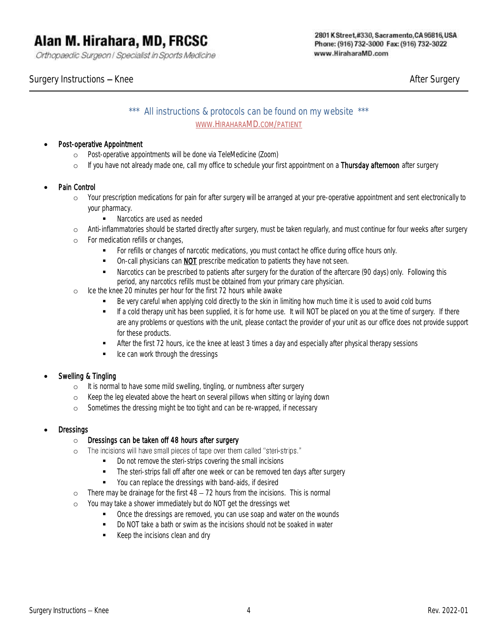Orthopaedic Surgeon | Specialist in Sports Medicine

Surgery Instructions – Knee After Surgery After Surgery After Surgery After Surgery After Surgery

# \*\*\* All instructions & protocols can be found on my website \*\*\* WWW.HIRAHARAMD.COM/PATIENT

# • Post-operative Appointment

- o Post-operative appointments will be done via TeleMedicine (Zoom)
- o If you have not already made one, call my office to schedule your first appointment on a Thursday afternoon after surgery

# Pain Control

- o Your prescription medications for pain for after surgery will be arranged at your pre-operative appointment and sent electronically to your pharmacy.
	- Narcotics are used as needed
- o Anti-inflammatories should be started directly after surgery, must be taken regularly, and must continue for four weeks after surgery
- o For medication refills or changes,
	- **•** For refills or changes of narcotic medications, you must contact he office during office hours only.
	- **•** On-call physicians can **NOT** prescribe medication to patients they have not seen.
	- **■** Narcotics can be prescribed to patients after surgery for the duration of the aftercare (90 days) only. Following this period, any narcotics refills must be obtained from your primary care physician.
- o Ice the knee 20 minutes per hour for the first 72 hours while awake
	- Be very careful when applying cold directly to the skin in limiting how much time it is used to avoid cold burns
	- If a cold therapy unit has been supplied, it is for home use. It will NOT be placed on you at the time of surgery. If there are any problems or questions with the unit, please contact the provider of your unit as our office does not provide support for these products.
	- **EXECUTE:** After the first 72 hours, ice the knee at least 3 times a day and especially after physical therapy sessions
	- Ice can work through the dressings

# • Swelling & Tingling

- o It is normal to have some mild swelling, tingling, or numbness after surgery
- o Keep the leg elevated above the heart on several pillows when sitting or laying down
- o Sometimes the dressing might be too tight and can be re-wrapped, if necessary

# **Dressings**

# o Dressings can be taken off 48 hours after surgery

- o The incisions will have small pieces of tape over them called "steri-strips."
	- Do not remove the steri-strips covering the small incisions
	- **•** The steri-strips fall off after one week or can be removed ten days after surgery
	- You can replace the dressings with band-aids, if desired
- $\circ$  There may be drainage for the first  $48 72$  hours from the incisions. This is normal
- o You may take a shower immediately but do NOT get the dressings wet
	- Once the dressings are removed, you can use soap and water on the wounds
	- Do NOT take a bath or swim as the incisions should not be soaked in water
	- Keep the incisions clean and dry